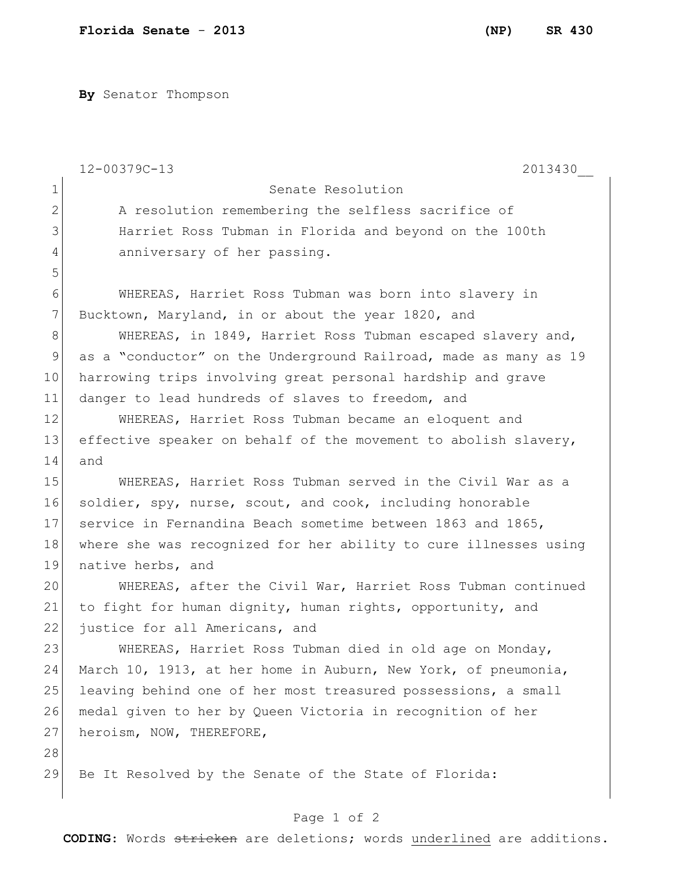**By** Senator Thompson

|              | $12 - 00379C - 13$<br>2013430                                    |
|--------------|------------------------------------------------------------------|
| $\mathbf 1$  | Senate Resolution                                                |
| $\mathbf{2}$ | A resolution remembering the selfless sacrifice of               |
| 3            | Harriet Ross Tubman in Florida and beyond on the 100th           |
| 4            | anniversary of her passing.                                      |
| 5            |                                                                  |
| 6            | WHEREAS, Harriet Ross Tubman was born into slavery in            |
| 7            | Bucktown, Maryland, in or about the year 1820, and               |
| 8            | WHEREAS, in 1849, Harriet Ross Tubman escaped slavery and,       |
| 9            | as a "conductor" on the Underground Railroad, made as many as 19 |
| 10           | harrowing trips involving great personal hardship and grave      |
| 11           | danger to lead hundreds of slaves to freedom, and                |
| 12           | WHEREAS, Harriet Ross Tubman became an eloquent and              |
| 13           | effective speaker on behalf of the movement to abolish slavery,  |
| 14           | and                                                              |
| 15           | WHEREAS, Harriet Ross Tubman served in the Civil War as a        |
| 16           | soldier, spy, nurse, scout, and cook, including honorable        |
| 17           | service in Fernandina Beach sometime between 1863 and 1865,      |
| 18           | where she was recognized for her ability to cure illnesses using |
| 19           | native herbs, and                                                |
| 20           | WHEREAS, after the Civil War, Harriet Ross Tubman continued      |
| 21           | to fight for human dignity, human rights, opportunity, and       |
| 22           | justice for all Americans, and                                   |
| 23           | WHEREAS, Harriet Ross Tubman died in old age on Monday,          |
| 24           | March 10, 1913, at her home in Auburn, New York, of pneumonia,   |
| 25           | leaving behind one of her most treasured possessions, a small    |
| 26           | medal given to her by Queen Victoria in recognition of her       |
| 27           | heroism, NOW, THEREFORE,                                         |
| 28           |                                                                  |
| 29           | Be It Resolved by the Senate of the State of Florida:            |

## Page 1 of 2

**CODING**: Words stricken are deletions; words underlined are additions.